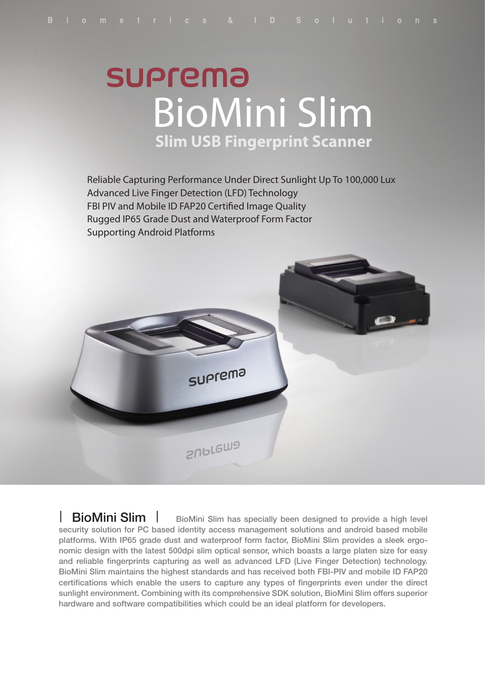# **SUPrema** BioMini Slim **Slim USB Fingerprint Scanner**

Reliable Capturing Performance Under Direct Sunlight Up To 100,000 Lux Advanced Live Finger Detection (LFD) Technology FBI PIV and Mobile ID FAP20 Certified Image Quality Rugged IP65 Grade Dust and Waterproof Form Factor Supporting Android Platforms



**BioMini Slim**  $\parallel$  BioMini Slim has specially been designed to provide a high level security solution for PC based identity access management solutions and android based mobile platforms. With IP65 grade dust and waterproof form factor, BioMini Slim provides a sleek ergonomic design with the latest 500dpi slim optical sensor, which boasts a large platen size for easy and reliable fingerprints capturing as well as advanced LFD (Live Finger Detection) technology. BioMini Slim maintains the highest standards and has received both FBI-PIV and mobile ID FAP20 certifications which enable the users to capture any types of fingerprints even under the direct sunlight environment. Combining with its comprehensive SDK solution, BioMini Slim offers superior hardware and software compatibilities which could be an ideal platform for developers.